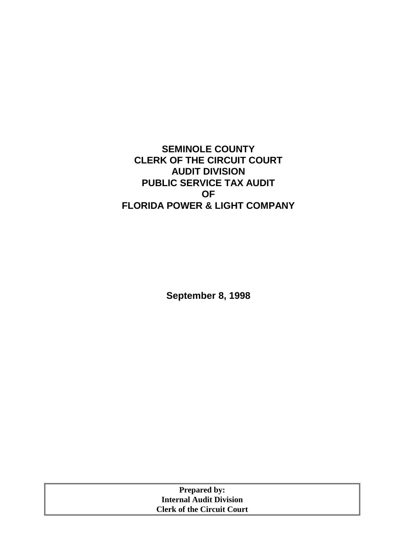# **SEMINOLE COUNTY CLERK OF THE CIRCUIT COURT AUDIT DIVISION PUBLIC SERVICE TAX AUDIT OF FLORIDA POWER & LIGHT COMPANY**

**September 8, 1998** 

| <b>Prepared by:</b>               |  |
|-----------------------------------|--|
| <b>Internal Audit Division</b>    |  |
| <b>Clerk of the Circuit Court</b> |  |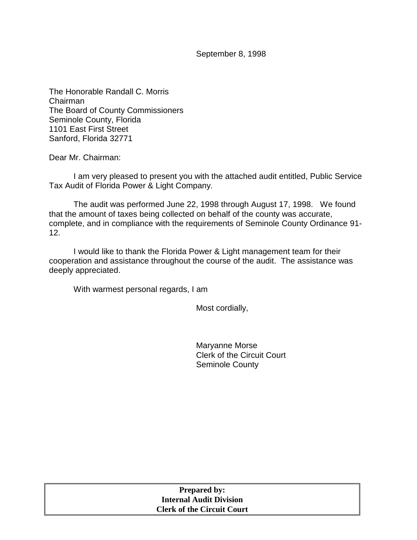September 8, 1998

The Honorable Randall C. Morris Chairman The Board of County Commissioners Seminole County, Florida 1101 East First Street Sanford, Florida 32771

Dear Mr. Chairman:

I am very pleased to present you with the attached audit entitled, Public Service Tax Audit of Florida Power & Light Company*.* 

The audit was performed June 22, 1998 through August 17, 1998. We found that the amount of taxes being collected on behalf of the county was accurate, complete, and in compliance with the requirements of Seminole County Ordinance 91- 12.

I would like to thank the Florida Power & Light management team for their cooperation and assistance throughout the course of the audit. The assistance was deeply appreciated.

With warmest personal regards, I am

Most cordially,

Maryanne Morse Clerk of the Circuit Court Seminole County

| <b>Prepared by:</b>               |
|-----------------------------------|
| <b>Internal Audit Division</b>    |
| <b>Clerk of the Circuit Court</b> |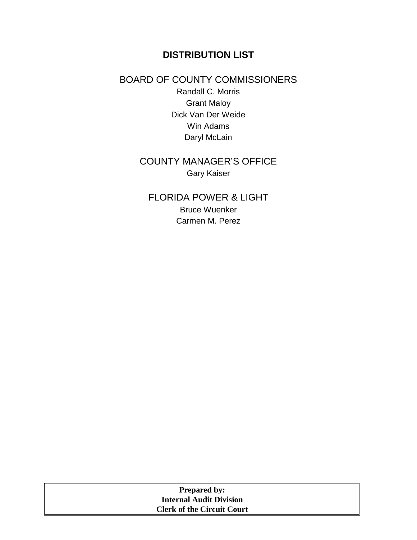# **DISTRIBUTION LIST**

### BOARD OF COUNTY COMMISSIONERS

Randall C. Morris Grant Maloy Dick Van Der Weide Win Adams Daryl McLain

# COUNTY MANAGER'S OFFICE Gary Kaiser

FLORIDA POWER & LIGHT Bruce Wuenker Carmen M. Perez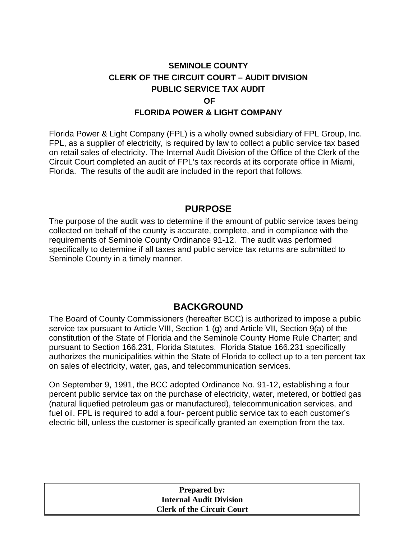## **SEMINOLE COUNTY CLERK OF THE CIRCUIT COURT – AUDIT DIVISION PUBLIC SERVICE TAX AUDIT OF FLORIDA POWER & LIGHT COMPANY**

Florida Power & Light Company (FPL) is a wholly owned subsidiary of FPL Group, Inc. FPL, as a supplier of electricity, is required by law to collect a public service tax based on retail sales of electricity. The Internal Audit Division of the Office of the Clerk of the Circuit Court completed an audit of FPL's tax records at its corporate office in Miami, Florida. The results of the audit are included in the report that follows.

### **PURPOSE**

The purpose of the audit was to determine if the amount of public service taxes being collected on behalf of the county is accurate, complete, and in compliance with the requirements of Seminole County Ordinance 91-12. The audit was performed specifically to determine if all taxes and public service tax returns are submitted to Seminole County in a timely manner.

### **BACKGROUND**

The Board of County Commissioners (hereafter BCC) is authorized to impose a public service tax pursuant to Article VIII, Section 1 (g) and Article VII, Section 9(a) of the constitution of the State of Florida and the Seminole County Home Rule Charter; and pursuant to Section 166.231, Florida Statutes. Florida Statue 166.231 specifically authorizes the municipalities within the State of Florida to collect up to a ten percent tax on sales of electricity, water, gas, and telecommunication services.

On September 9, 1991, the BCC adopted Ordinance No. 91-12, establishing a four percent public service tax on the purchase of electricity, water, metered, or bottled gas (natural liquefied petroleum gas or manufactured), telecommunication services, and fuel oil. FPL is required to add a four- percent public service tax to each customer's electric bill, unless the customer is specifically granted an exemption from the tax.

#### **Prepared by: Internal Audit Division Clerk of the Circuit Court**